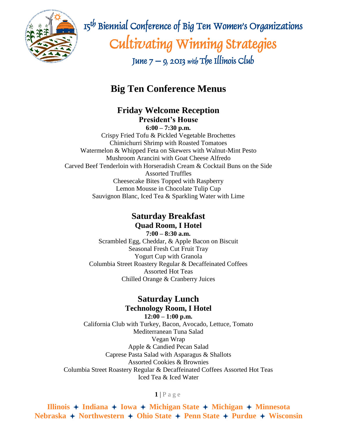

 $\mathbb{R}$   $\mathbb{R}$   $\mathbb{R}$   $\mathbb{R}$   $\mathbb{R}$   $\mathbb{R}$   $\mathbb{R}$  Biennial Conference of Big Ten Women's Organizations Cultivating Winning Strategies June  $7 - 9$ , 2013 with The Illinois Club

# **Big Ten Conference Menus**

**Friday Welcome Reception President's House**

**6:00 – 7:30 p.m.** Crispy Fried Tofu & Pickled Vegetable Brochettes Chimichurri Shrimp with Roasted Tomatoes Watermelon & Whipped Feta on Skewers with Walnut-Mint Pesto Mushroom Arancini with Goat Cheese Alfredo Carved Beef Tenderloin with Horseradish Cream & Cocktail Buns on the Side Assorted Truffles Cheesecake Bites Topped with Raspberry Lemon Mousse in Chocolate Tulip Cup Sauvignon Blanc, Iced Tea & Sparkling Water with Lime

#### **Saturday Breakfast Quad Room, I Hotel**

**7:00 – 8:30 a.m.** Scrambled Egg, Cheddar, & Apple Bacon on Biscuit Seasonal Fresh Cut Fruit Tray Yogurt Cup with Granola Columbia Street Roastery Regular & Decaffeinated Coffees Assorted Hot Teas Chilled Orange & Cranberry Juices

## **Saturday Lunch Technology Room, I Hotel**

**12:00 – 1:00 p.m.** California Club with Turkey, Bacon, Avocado, Lettuce, Tomato Mediterranean Tuna Salad Vegan Wrap Apple & Candied Pecan Salad Caprese Pasta Salad with Asparagus & Shallots Assorted Cookies & Brownies Columbia Street Roastery Regular & Decaffeinated Coffees Assorted Hot Teas Iced Tea & Iced Water

#### $1$  | P a g e

**Illinois**  $\rightarrow$  **Indiana**  $\rightarrow$  **Iowa**  $\rightarrow$  **Michigan** State  $\rightarrow$  **Michigan**  $\rightarrow$  **Minnesota Nebraska** + Northwestern + Ohio State + Penn State + Purdue + Wisconsin